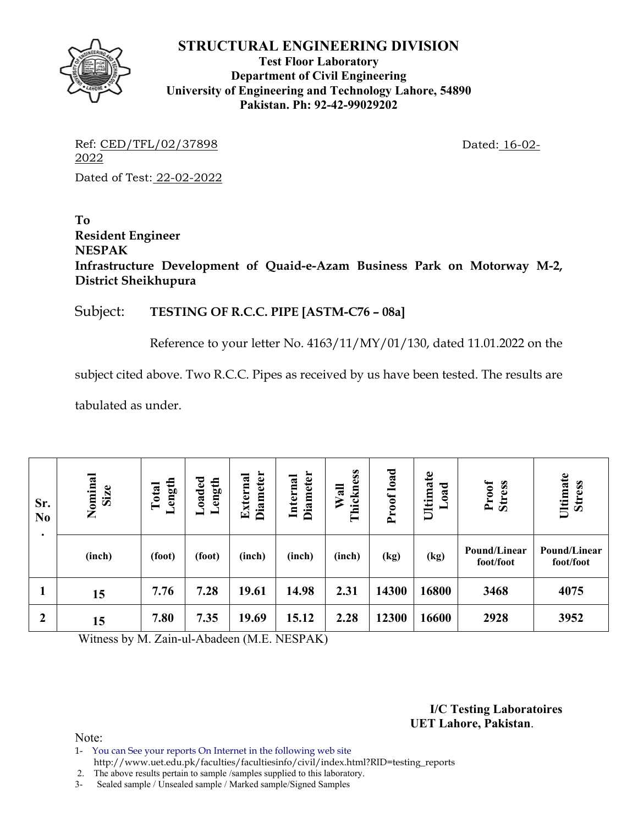

**Test Floor Laboratory Department of Civil Engineering University of Engineering and Technology Lahore, 54890 Pakistan. Ph: 92-42-99029202** 

Ref: CED/TFL/02/37898 Dated: 16-02-2022 Dated of Test: 22-02-2022

**To Resident Engineer NESPAK Infrastructure Development of Quaid-e-Azam Business Park on Motorway M-2, District Sheikhupura** 

### Subject: **TESTING OF R.C.C. PIPE [ASTM-C76 – 08a]**

Reference to your letter No. 4163/11/MY/01/130, dated 11.01.2022 on the

subject cited above. Two R.C.C. Pipes as received by us have been tested. The results are

tabulated as under.

| Sr.<br>N <sub>0</sub><br>٠ | Nominal<br>Size | Loaded<br>Length<br>ength<br>Total<br>━ |        | Diameter<br>External | <b>Diameter</b><br>Internal | Thickness<br>Wall | load<br>Proof | Ultimate<br>bad | Proof<br>Stress           | Ultimate<br><b>Stress</b> |
|----------------------------|-----------------|-----------------------------------------|--------|----------------------|-----------------------------|-------------------|---------------|-----------------|---------------------------|---------------------------|
|                            | (inch)          | (foot)                                  | (foot) | (inch)               | (inch)                      | (inch)            | (kg)          | (kg)            | Pound/Linear<br>foot/foot | Pound/Linear<br>foot/foot |
| щ                          | 15              | 7.76                                    | 7.28   | 19.61                | 14.98                       | 2.31              | 14300         | 16800           | 3468                      | 4075                      |
| $\boldsymbol{2}$           | 15              | 7.80                                    | 7.35   | 19.69                | 15.12                       | 2.28              | 12300         | 16600           | 2928                      | 3952                      |

Witness by M. Zain-ul-Abadeen (M.E. NESPAK)

**I/C Testing Laboratoires UET Lahore, Pakistan**.

Note:

1- You can See your reports On Internet in the following web site http://www.uet.edu.pk/faculties/facultiesinfo/civil/index.html?RID=testing\_reports

2. The above results pertain to sample /samples supplied to this laboratory.

3- Sealed sample / Unsealed sample / Marked sample/Signed Samples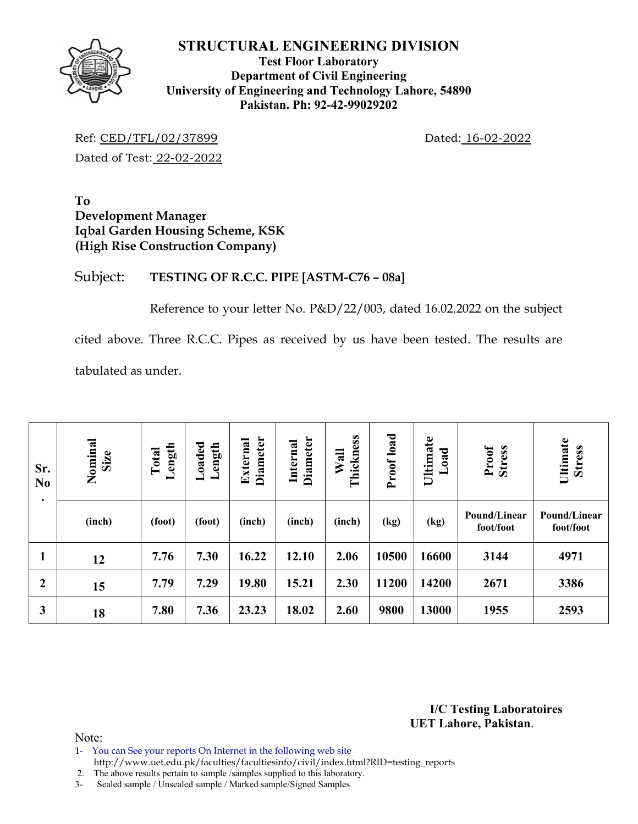

### **Test Floor Laboratory Department of Civil Engineering University of Engineering and Technology Lahore, 54890 Pakistan. Ph: 92-42-99029202**

Ref: CED/TFL/02/37899 Dated: 16-02-2022 Dated of Test: 22-02-2022

**To Development Manager Iqbal Garden Housing Scheme, KSK (High Rise Construction Company)** 

### Subject: **TESTING OF R.C.C. PIPE [ASTM-C76 – 08a]**

Reference to your letter No. P&D/22/003, dated 16.02.2022 on the subject cited above. Three R.C.C. Pipes as received by us have been tested. The results are tabulated as under.

| Sr.<br>N <sub>0</sub><br>$\bullet$ | Nominal<br>Size | Length<br>Total | Loaded<br>Length | <b>Diameter</b><br>External | Diameter<br>Internal | Thickness<br>Wall | Proof load | Ultimate<br>Load | <b>Stress</b><br>Proof    | Ultimate<br><b>Stress</b> |
|------------------------------------|-----------------|-----------------|------------------|-----------------------------|----------------------|-------------------|------------|------------------|---------------------------|---------------------------|
|                                    | (inch)          | (foot)          | (foot)           | (inch)                      | (inch)               | (inch)            | (kg)       | (kg)             | Pound/Linear<br>foot/foot | Pound/Linear<br>foot/foot |
| $\mathbf{1}$                       | 12              | 7.76            | 7.30             | 16.22                       | 12.10                | 2.06              | 10500      | 16600            | 3144                      | 4971                      |
| $\boldsymbol{2}$                   | 15              | 7.79            | 7.29             | 19.80                       | 15.21                | 2.30              | 11200      | 14200            | 2671                      | 3386                      |
| 3                                  | 18              | 7.80            | 7.36             | 23.23                       | 18.02                | 2.60              | 9800       | 13000            | 1955                      | 2593                      |

**I/C Testing Laboratoires UET Lahore, Pakistan**.

- 1- You can See your reports On Internet in the following web site http://www.uet.edu.pk/faculties/facultiesinfo/civil/index.html?RID=testing\_reports
- 2. The above results pertain to sample /samples supplied to this laboratory.
- 3- Sealed sample / Unsealed sample / Marked sample/Signed Samples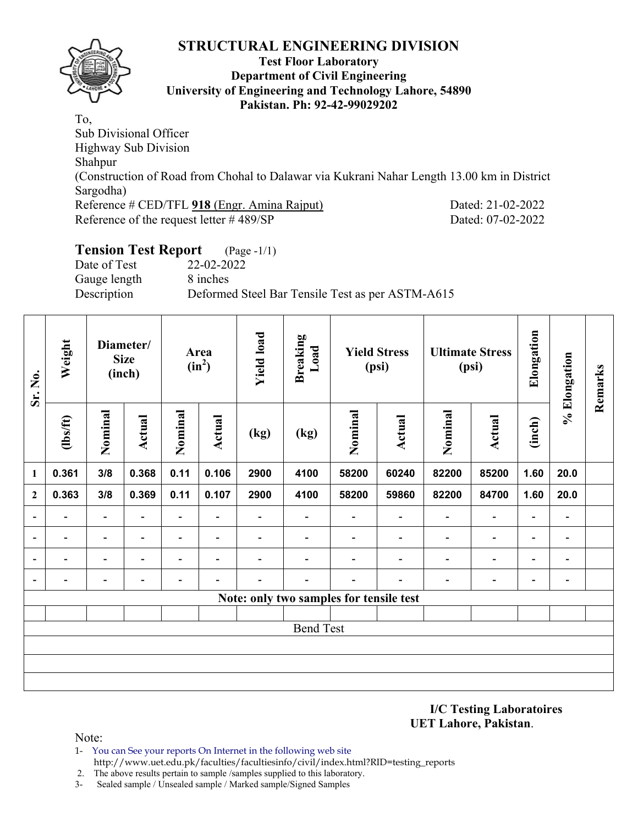

#### **Test Floor Laboratory Department of Civil Engineering University of Engineering and Technology Lahore, 54890 Pakistan. Ph: 92-42-99029202**

To, Sub Divisional Officer Highway Sub Division Shahpur (Construction of Road from Chohal to Dalawar via Kukrani Nahar Length 13.00 km in District Sargodha) Reference # CED/TFL 918 (Engr. Amina Rajput) Dated: 21-02-2022 Reference of the request letter # 489/SP Dated: 07-02-2022

### **Tension Test Report** (Page -1/1) Date of Test 22-02-2022 Gauge length 8 inches Description Deformed Steel Bar Tensile Test as per ASTM-A615

| Sr. No.                  | Weight                   | Diameter/<br><b>Size</b><br>(inch) |               |                          |                          |                          |                                         |                          |                          | Area<br>$(in^2)$         |                              | <b>Yield load</b>        | <b>Breaking</b><br>Load      |  | <b>Yield Stress</b><br>(psi) |  | <b>Ultimate Stress</b><br>(psi) | Elongation | % Elongation | Remarks |
|--------------------------|--------------------------|------------------------------------|---------------|--------------------------|--------------------------|--------------------------|-----------------------------------------|--------------------------|--------------------------|--------------------------|------------------------------|--------------------------|------------------------------|--|------------------------------|--|---------------------------------|------------|--------------|---------|
|                          | $\frac{2}{10}$           | Nominal                            | <b>Actual</b> | Nominal                  | Actual                   | (kg)                     | (kg)                                    | Nominal                  | <b>Actual</b>            | Nominal                  | <b>Actual</b>                | (inch)                   |                              |  |                              |  |                                 |            |              |         |
| 1                        | 0.361                    | 3/8                                | 0.368         | 0.11                     | 0.106                    | 2900                     | 4100                                    | 58200                    | 60240                    | 82200                    | 85200                        | 1.60                     | 20.0                         |  |                              |  |                                 |            |              |         |
| $\overline{2}$           | 0.363                    | 3/8                                | 0.369         | 0.11                     | 0.107                    | 2900                     | 4100                                    | 58200                    | 59860                    | 82200                    | 84700                        | 1.60                     | 20.0                         |  |                              |  |                                 |            |              |         |
|                          | $\overline{\phantom{a}}$ | $\overline{\phantom{a}}$           | Ξ.            | $\blacksquare$           | $\overline{\phantom{a}}$ | $\overline{\phantom{a}}$ | $\blacksquare$                          | $\overline{\phantom{a}}$ | $\blacksquare$           | $\overline{\phantom{a}}$ | $\overline{\phantom{a}}$     | $\overline{\phantom{a}}$ | $\overline{\phantom{a}}$     |  |                              |  |                                 |            |              |         |
|                          | $\overline{\phantom{0}}$ | $\overline{\phantom{a}}$           |               | $\overline{\phantom{0}}$ | $\blacksquare$           | -                        | $\overline{\phantom{0}}$                |                          | $\overline{\phantom{0}}$ | $\overline{\phantom{0}}$ | $\qquad \qquad \blacksquare$ | $\overline{a}$           | $\qquad \qquad \blacksquare$ |  |                              |  |                                 |            |              |         |
| $\overline{\phantom{0}}$ | $\overline{\phantom{0}}$ | -                                  |               | $\overline{\phantom{0}}$ | ٠                        | $\overline{\phantom{0}}$ | $\overline{\phantom{0}}$                |                          | ۰                        | ٠                        | $\qquad \qquad \blacksquare$ | $\overline{\phantom{a}}$ | $\overline{\phantom{a}}$     |  |                              |  |                                 |            |              |         |
| $\blacksquare$           | $\overline{\phantom{0}}$ | -                                  |               | -                        | $\overline{\phantom{0}}$ |                          |                                         |                          |                          |                          | $\qquad \qquad \blacksquare$ | -                        | $\qquad \qquad \blacksquare$ |  |                              |  |                                 |            |              |         |
|                          |                          |                                    |               |                          |                          |                          | Note: only two samples for tensile test |                          |                          |                          |                              |                          |                              |  |                              |  |                                 |            |              |         |
|                          |                          |                                    |               |                          |                          |                          |                                         |                          |                          |                          |                              |                          |                              |  |                              |  |                                 |            |              |         |
|                          |                          |                                    |               |                          |                          |                          | <b>Bend Test</b>                        |                          |                          |                          |                              |                          |                              |  |                              |  |                                 |            |              |         |
|                          |                          |                                    |               |                          |                          |                          |                                         |                          |                          |                          |                              |                          |                              |  |                              |  |                                 |            |              |         |
|                          |                          |                                    |               |                          |                          |                          |                                         |                          |                          |                          |                              |                          |                              |  |                              |  |                                 |            |              |         |
|                          |                          |                                    |               |                          |                          |                          |                                         |                          |                          |                          |                              |                          |                              |  |                              |  |                                 |            |              |         |

**I/C Testing Laboratoires UET Lahore, Pakistan**.

- 1- You can See your reports On Internet in the following web site http://www.uet.edu.pk/faculties/facultiesinfo/civil/index.html?RID=testing\_reports
- 2. The above results pertain to sample /samples supplied to this laboratory.
- 3- Sealed sample / Unsealed sample / Marked sample/Signed Samples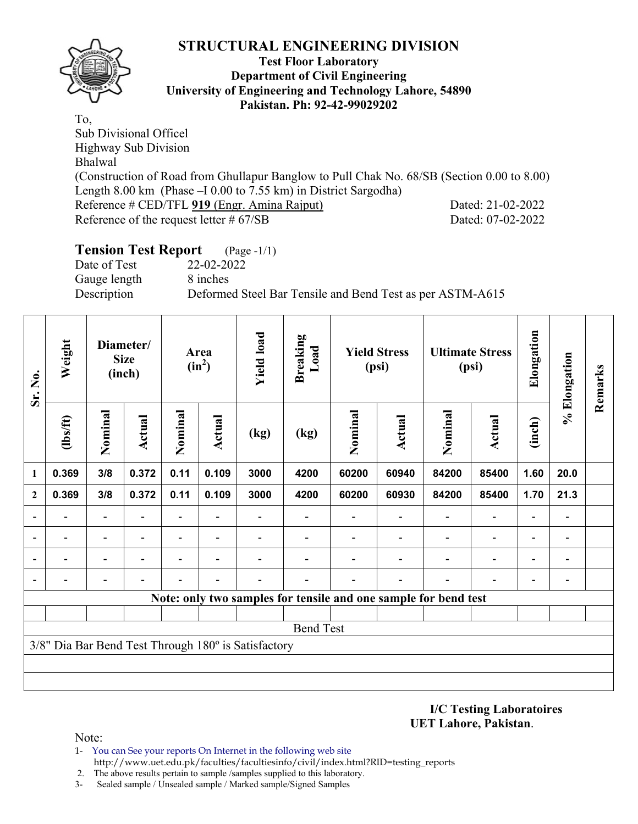

#### **Test Floor Laboratory Department of Civil Engineering University of Engineering and Technology Lahore, 54890 Pakistan. Ph: 92-42-99029202**

To, Sub Divisional Officel Highway Sub Division Bhalwal (Construction of Road from Ghullapur Banglow to Pull Chak No. 68/SB (Section 0.00 to 8.00) Length 8.00 km (Phase –I 0.00 to 7.55 km) in District Sargodha) Reference # CED/TFL 919 (Engr. Amina Rajput) Dated: 21-02-2022 Reference of the request letter # 67/SB Dated: 07-02-2022

#### **Tension Test Report** (Page -1/1) Date of Test 22-02-2022

Gauge length 8 inches

Description Deformed Steel Bar Tensile and Bend Test as per ASTM-A615

| Sr. No.                  | Weight   | Diameter/<br><b>Size</b><br>(inch) |               | Area<br>$(in^2)$         |                          | <b>Yield load</b>                                   | <b>Breaking</b><br>Load<br><b>Yield Stress</b><br>(psi) |                                                                 |               | <b>Ultimate Stress</b><br>(psi) | Elongation               | % Elongation             | Remarks                      |  |
|--------------------------|----------|------------------------------------|---------------|--------------------------|--------------------------|-----------------------------------------------------|---------------------------------------------------------|-----------------------------------------------------------------|---------------|---------------------------------|--------------------------|--------------------------|------------------------------|--|
|                          | (1bs/ft) | Nominal                            | <b>Actual</b> | Nominal                  | Actual                   | (kg)                                                | (kg)                                                    | Nominal                                                         | <b>Actual</b> | Nominal                         | <b>Actual</b>            | (inch)                   |                              |  |
| 1                        | 0.369    | 3/8                                | 0.372         | 0.11                     | 0.109                    | 3000                                                | 4200                                                    | 60200                                                           | 60940         | 84200                           | 85400                    | 1.60                     | 20.0                         |  |
| $\overline{2}$           | 0.369    | 3/8                                | 0.372         | 0.11                     | 0.109                    | 3000                                                | 4200                                                    | 60200                                                           | 60930         | 84200                           | 85400                    | 1.70                     | 21.3                         |  |
|                          |          | $\overline{\phantom{0}}$           |               | $\overline{\phantom{0}}$ | $\overline{\phantom{a}}$ |                                                     | $\qquad \qquad \blacksquare$                            | -                                                               |               | -                               | $\overline{\phantom{a}}$ |                          | $\qquad \qquad \blacksquare$ |  |
|                          |          | $\overline{\phantom{0}}$           |               |                          |                          |                                                     |                                                         |                                                                 |               |                                 |                          |                          | $\overline{a}$               |  |
| $\overline{\phantom{0}}$ |          | $\overline{\phantom{0}}$           |               |                          |                          |                                                     |                                                         |                                                                 |               |                                 | $\overline{\phantom{0}}$ |                          | -                            |  |
| $\blacksquare$           |          |                                    |               |                          |                          |                                                     |                                                         |                                                                 |               |                                 |                          | $\overline{\phantom{0}}$ | $\qquad \qquad \blacksquare$ |  |
|                          |          |                                    |               |                          |                          |                                                     |                                                         | Note: only two samples for tensile and one sample for bend test |               |                                 |                          |                          |                              |  |
|                          |          |                                    |               |                          |                          |                                                     |                                                         |                                                                 |               |                                 |                          |                          |                              |  |
|                          |          |                                    |               |                          |                          |                                                     | <b>Bend Test</b>                                        |                                                                 |               |                                 |                          |                          |                              |  |
|                          |          |                                    |               |                          |                          | 3/8" Dia Bar Bend Test Through 180° is Satisfactory |                                                         |                                                                 |               |                                 |                          |                          |                              |  |
|                          |          |                                    |               |                          |                          |                                                     |                                                         |                                                                 |               |                                 |                          |                          |                              |  |
|                          |          |                                    |               |                          |                          |                                                     |                                                         |                                                                 |               |                                 |                          |                          |                              |  |

#### **I/C Testing Laboratoires UET Lahore, Pakistan**.

- 1- You can See your reports On Internet in the following web site http://www.uet.edu.pk/faculties/facultiesinfo/civil/index.html?RID=testing\_reports
- 2. The above results pertain to sample /samples supplied to this laboratory.
- 3- Sealed sample / Unsealed sample / Marked sample/Signed Samples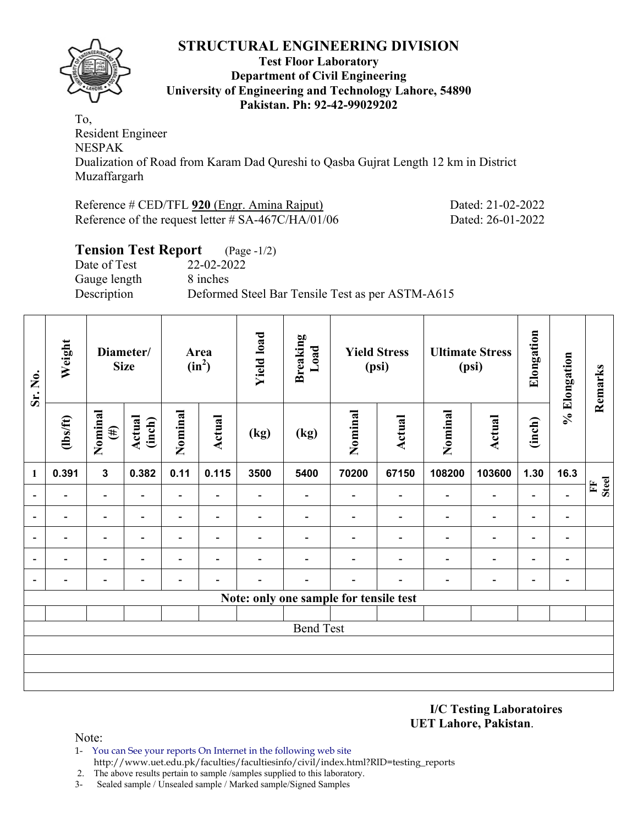

#### **Test Floor Laboratory Department of Civil Engineering University of Engineering and Technology Lahore, 54890 Pakistan. Ph: 92-42-99029202**

To, Resident Engineer NESPAK Dualization of Road from Karam Dad Qureshi to Qasba Gujrat Length 12 km in District Muzaffargarh

| Reference # CED/TFL 920 (Engr. Amina Rajput)          |  |
|-------------------------------------------------------|--|
| Reference of the request letter $\#$ SA-467C/HA/01/06 |  |

# **Tension Test Report** (Page -1/2)

Date of Test 22-02-2022 Gauge length 8 inches Description Deformed Steel Bar Tensile Test as per ASTM-A615

| Sr. No.                  | Weight                   | Diameter/<br><b>Size</b> |                          |                          |                          | Area<br>$(in^2)$         |                                        | <b>Yield load</b> | <b>Breaking</b><br>Load  | <b>Yield Stress</b><br>(psi) |                          |                          | <b>Ultimate Stress</b><br>(psi) | Elongation        | % Elongation | Remarks |
|--------------------------|--------------------------|--------------------------|--------------------------|--------------------------|--------------------------|--------------------------|----------------------------------------|-------------------|--------------------------|------------------------------|--------------------------|--------------------------|---------------------------------|-------------------|--------------|---------|
|                          | $\frac{2}{10}$           | Nominal<br>$(\#)$        | <b>Actual</b><br>(inch)  | Nominal                  | <b>Actual</b>            | (kg)                     | (kg)                                   | Nominal           | <b>Actual</b>            | Nominal                      | <b>Actual</b>            | (inch)                   |                                 |                   |              |         |
| $\mathbf{1}$             | 0.391                    | $\mathbf{3}$             | 0.382                    | 0.11                     | 0.115                    | 3500                     | 5400                                   | 70200             | 67150                    | 108200                       | 103600                   | 1.30                     | 16.3                            |                   |              |         |
| $\blacksquare$           | $\blacksquare$           | $\blacksquare$           | $\overline{\phantom{0}}$ | -                        | $\overline{\phantom{a}}$ | $\overline{\phantom{0}}$ | $\overline{\phantom{0}}$               | $\blacksquare$    | $\overline{\phantom{0}}$ | $\blacksquare$               | $\overline{\phantom{a}}$ | $\overline{\phantom{a}}$ | $\qquad \qquad \blacksquare$    | <b>Steel</b><br>E |              |         |
| $\overline{\phantom{0}}$ |                          | -                        | -                        | -                        | $\overline{\phantom{a}}$ |                          | -                                      |                   | $\overline{\phantom{0}}$ | $\blacksquare$               | $\overline{\phantom{a}}$ | $\blacksquare$           | $\overline{\phantom{a}}$        |                   |              |         |
| ۰                        |                          | $\overline{\phantom{0}}$ |                          | $\overline{\phantom{0}}$ | $\overline{\phantom{0}}$ |                          |                                        |                   |                          | $\blacksquare$               | $\overline{\phantom{0}}$ | $\overline{\phantom{a}}$ | $\overline{a}$                  |                   |              |         |
| $\overline{\phantom{a}}$ | $\overline{\phantom{0}}$ | $\blacksquare$           | $\overline{a}$           | $\overline{\phantom{0}}$ | $\overline{\phantom{a}}$ | $\overline{\phantom{0}}$ |                                        |                   | $\overline{\phantom{0}}$ | $\overline{\phantom{0}}$     | $\overline{\phantom{a}}$ | $\overline{\phantom{a}}$ | $\overline{\phantom{a}}$        |                   |              |         |
| $\overline{\phantom{a}}$ |                          | -                        | -                        | -                        | $\blacksquare$           |                          | ۰                                      |                   | $\overline{\phantom{0}}$ | $\blacksquare$               | $\blacksquare$           | $\overline{\phantom{a}}$ | $\blacksquare$                  |                   |              |         |
|                          |                          |                          |                          |                          |                          |                          | Note: only one sample for tensile test |                   |                          |                              |                          |                          |                                 |                   |              |         |
|                          |                          |                          |                          |                          |                          |                          |                                        |                   |                          |                              |                          |                          |                                 |                   |              |         |
|                          |                          |                          |                          |                          |                          |                          | <b>Bend Test</b>                       |                   |                          |                              |                          |                          |                                 |                   |              |         |
|                          |                          |                          |                          |                          |                          |                          |                                        |                   |                          |                              |                          |                          |                                 |                   |              |         |
|                          |                          |                          |                          |                          |                          |                          |                                        |                   |                          |                              |                          |                          |                                 |                   |              |         |
|                          |                          |                          |                          |                          |                          |                          |                                        |                   |                          |                              |                          |                          |                                 |                   |              |         |

**I/C Testing Laboratoires UET Lahore, Pakistan**.

Dated: 21-02-2022 Dated: 26-01-2022

- 1- You can See your reports On Internet in the following web site http://www.uet.edu.pk/faculties/facultiesinfo/civil/index.html?RID=testing\_reports
- 2. The above results pertain to sample /samples supplied to this laboratory.
- 3- Sealed sample / Unsealed sample / Marked sample/Signed Samples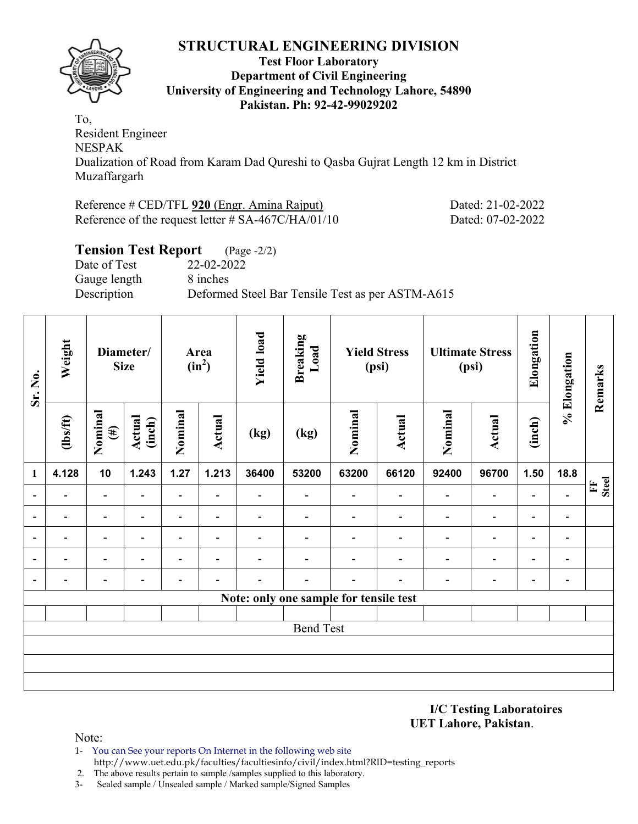

#### **Test Floor Laboratory Department of Civil Engineering University of Engineering and Technology Lahore, 54890 Pakistan. Ph: 92-42-99029202**

To, Resident Engineer NESPAK Dualization of Road from Karam Dad Qureshi to Qasba Gujrat Length 12 km in District Muzaffargarh

| Reference # CED/TFL 920 (Engr. Amina Rajput)          |  |
|-------------------------------------------------------|--|
| Reference of the request letter $\#$ SA-467C/HA/01/10 |  |

Dated: 21-02-2022 Dated: 07-02-2022

| <b>Tension Test Report</b> (Page -2/2) |                                                  |
|----------------------------------------|--------------------------------------------------|
| Date of Test                           | 22-02-2022                                       |
| Gauge length                           | 8 inches                                         |
| Description                            | Deformed Steel Bar Tensile Test as per ASTM-A615 |
|                                        |                                                  |

| Weight                   |                          |                          |                              |                          | <b>Yield load</b>        | <b>Breaking</b><br>Load  |                          |                          |                                                                        |                          | Elongation                      |                          | Remarks           |
|--------------------------|--------------------------|--------------------------|------------------------------|--------------------------|--------------------------|--------------------------|--------------------------|--------------------------|------------------------------------------------------------------------|--------------------------|---------------------------------|--------------------------|-------------------|
| $\frac{2}{10}$           | Nominal<br>$(\#)$        | <b>Actual</b><br>(inch)  | Nominal                      | <b>Actual</b>            | (kg)                     | (kg)                     | Nominal                  | <b>Actual</b>            | Nominal                                                                | <b>Actual</b>            | (inch)                          |                          |                   |
| 4.128                    | 10                       | 1.243                    | 1.27                         | 1.213                    | 36400                    | 53200                    | 63200                    | 66120                    | 92400                                                                  | 96700                    | 1.50                            | 18.8                     |                   |
| $\overline{\phantom{0}}$ | $\overline{\phantom{a}}$ | $\overline{\phantom{0}}$ | $\blacksquare$               | $\overline{\phantom{a}}$ | $\overline{\phantom{a}}$ | $\overline{\phantom{0}}$ | $\blacksquare$           | $\overline{\phantom{a}}$ | $\qquad \qquad \blacksquare$                                           | $\overline{\phantom{a}}$ | $\qquad \qquad \blacksquare$    | $\overline{\phantom{0}}$ | <b>Steel</b><br>E |
| $\blacksquare$           | $\overline{\phantom{a}}$ | $\overline{\phantom{a}}$ | $\overline{\phantom{0}}$     | $\overline{\phantom{a}}$ | Ξ.                       |                          | $\overline{\phantom{0}}$ | $\overline{\phantom{0}}$ | $\qquad \qquad \blacksquare$                                           | $\overline{\phantom{a}}$ | $\qquad \qquad \blacksquare$    | $\blacksquare$           |                   |
|                          | -                        |                          |                              | $\overline{\phantom{0}}$ |                          |                          |                          |                          | $\overline{\phantom{0}}$                                               | $\overline{\phantom{0}}$ | $\blacksquare$                  | $\overline{\phantom{0}}$ |                   |
| -                        | $\overline{\phantom{a}}$ | $\overline{\phantom{0}}$ | $\overline{\phantom{0}}$     | $\overline{\phantom{a}}$ |                          |                          |                          | $\overline{\phantom{0}}$ | $\qquad \qquad \blacksquare$                                           | $\overline{a}$           | $\qquad \qquad \blacksquare$    | $\blacksquare$           |                   |
| $\overline{\phantom{0}}$ | $\overline{a}$           | $\overline{\phantom{0}}$ | $\qquad \qquad \blacksquare$ | $\overline{a}$           |                          |                          | $\overline{\phantom{a}}$ | $\overline{\phantom{0}}$ | $\qquad \qquad \blacksquare$                                           | $\overline{\phantom{a}}$ | $\qquad \qquad \blacksquare$    | $\blacksquare$           |                   |
|                          |                          |                          |                              |                          |                          |                          |                          |                          |                                                                        |                          |                                 |                          |                   |
|                          |                          |                          |                              |                          |                          |                          |                          |                          |                                                                        |                          |                                 |                          |                   |
|                          |                          |                          |                              |                          |                          |                          |                          |                          |                                                                        |                          |                                 |                          |                   |
|                          |                          |                          |                              |                          |                          |                          |                          |                          |                                                                        |                          |                                 |                          |                   |
|                          |                          |                          |                              |                          |                          |                          |                          |                          |                                                                        |                          |                                 |                          |                   |
|                          |                          |                          |                              |                          |                          |                          |                          |                          |                                                                        |                          |                                 |                          |                   |
|                          |                          |                          | Diameter/<br><b>Size</b>     |                          | Area<br>$(in^2)$         |                          |                          | <b>Bend Test</b>         | <b>Yield Stress</b><br>(psi)<br>Note: only one sample for tensile test |                          | <b>Ultimate Stress</b><br>(psi) |                          | % Elongation      |

**I/C Testing Laboratoires UET Lahore, Pakistan**.

- 1- You can See your reports On Internet in the following web site http://www.uet.edu.pk/faculties/facultiesinfo/civil/index.html?RID=testing\_reports
- 2. The above results pertain to sample /samples supplied to this laboratory.
- 3- Sealed sample / Unsealed sample / Marked sample/Signed Samples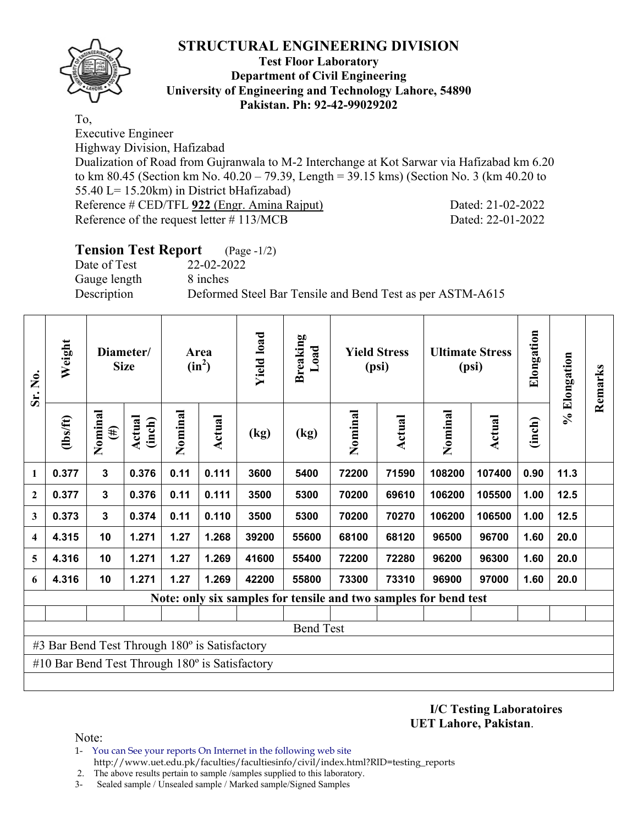

#### **Test Floor Laboratory Department of Civil Engineering University of Engineering and Technology Lahore, 54890 Pakistan. Ph: 92-42-99029202**

To,

Executive Engineer

Highway Division, Hafizabad

Dualization of Road from Gujranwala to M-2 Interchange at Kot Sarwar via Hafizabad km 6.20 to km 80.45 (Section km No. 40.20 – 79.39, Length = 39.15 kms) (Section No. 3 (km 40.20 to 55.40 L= 15.20km) in District bHafizabad) Reference # CED/TFL **922** (Engr. Amina Rajput) Dated: 21-02-2022 Reference of the request letter # 113/MCB Dated: 22-01-2022

| <b>Tension Test Report</b> (Page -1/2) |                                                           |
|----------------------------------------|-----------------------------------------------------------|
| Date of Test                           | 22-02-2022                                                |
| Gauge length                           | 8 inches                                                  |
| Description                            | Deformed Steel Bar Tensile and Bend Test as per ASTM-A615 |

| Sr. No.      | Weight                                                | Diameter/<br><b>Size</b> |                  | Area<br>$(in^2)$ |               | <b>Yield load</b> | <b>Breaking</b><br>Load | <b>Yield Stress</b><br>(psi) |               | <b>Ultimate Stress</b><br>(psi)                                  |               | Elongation | % Elongation | Remarks |
|--------------|-------------------------------------------------------|--------------------------|------------------|------------------|---------------|-------------------|-------------------------|------------------------------|---------------|------------------------------------------------------------------|---------------|------------|--------------|---------|
|              | (1bs/ft)                                              | Nominal<br>$(\#)$        | Actual<br>(inch) | Nominal          | <b>Actual</b> | (kg)              | (kg)                    | Nominal                      | <b>Actual</b> | Nominal                                                          | <b>Actual</b> | (inch)     |              |         |
| 1            | 0.377                                                 | 3                        | 0.376            | 0.11             | 0.111         | 3600              | 5400                    | 72200                        | 71590         | 108200                                                           | 107400        | 0.90       | 11.3         |         |
| $\mathbf{2}$ | 0.377                                                 | 3                        | 0.376            | 0.11             | 0.111         | 3500              | 5300                    | 70200                        | 69610         | 106200                                                           | 105500        | 1.00       | 12.5         |         |
| 3            | 0.373                                                 | $\mathbf{3}$             | 0.374            | 0.11             | 0.110         | 3500              | 5300                    | 70200                        | 70270         | 106200                                                           | 106500        | 1.00       | 12.5         |         |
| 4            | 4.315                                                 | 10                       | 1.271            | 1.27             | 1.268         | 39200             | 55600                   | 68100                        | 68120         | 96500                                                            | 96700         | 1.60       | 20.0         |         |
| 5            | 4.316                                                 | 10                       | 1.271            | 1.27             | 1.269         | 41600             | 55400                   | 72200                        | 72280         | 96200                                                            | 96300         | 1.60       | 20.0         |         |
| 6            | 4.316                                                 | 10                       | 1.271            | 1.27             | 1.269         | 42200             | 55800                   | 73300                        | 73310         | 96900                                                            | 97000         | 1.60       | 20.0         |         |
|              |                                                       |                          |                  |                  |               |                   |                         |                              |               | Note: only six samples for tensile and two samples for bend test |               |            |              |         |
|              |                                                       |                          |                  |                  |               |                   |                         |                              |               |                                                                  |               |            |              |         |
|              | <b>Bend Test</b>                                      |                          |                  |                  |               |                   |                         |                              |               |                                                                  |               |            |              |         |
|              | #3 Bar Bend Test Through 180° is Satisfactory         |                          |                  |                  |               |                   |                         |                              |               |                                                                  |               |            |              |         |
|              | #10 Bar Bend Test Through $180^\circ$ is Satisfactory |                          |                  |                  |               |                   |                         |                              |               |                                                                  |               |            |              |         |
|              |                                                       |                          |                  |                  |               |                   |                         |                              |               |                                                                  |               |            |              |         |

**I/C Testing Laboratoires UET Lahore, Pakistan**.

- 1- You can See your reports On Internet in the following web site http://www.uet.edu.pk/faculties/facultiesinfo/civil/index.html?RID=testing\_reports
- 2. The above results pertain to sample /samples supplied to this laboratory.
- 3- Sealed sample / Unsealed sample / Marked sample/Signed Samples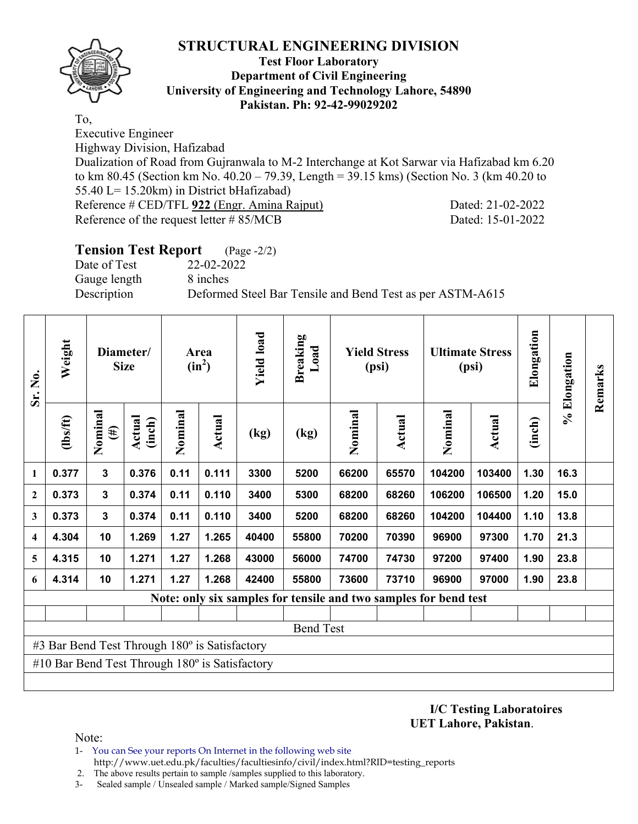

#### **Test Floor Laboratory Department of Civil Engineering University of Engineering and Technology Lahore, 54890 Pakistan. Ph: 92-42-99029202**

To,

Executive Engineer

Highway Division, Hafizabad

Dualization of Road from Gujranwala to M-2 Interchange at Kot Sarwar via Hafizabad km 6.20 to km 80.45 (Section km No. 40.20 – 79.39, Length = 39.15 kms) (Section No. 3 (km 40.20 to 55.40 L= 15.20km) in District bHafizabad) Reference # CED/TFL **922** (Engr. Amina Rajput) Dated: 21-02-2022

Reference of the request letter # 85/MCB Dated: 15-01-2022

| <b>Tension Test Report</b> (Page -2/2) |                                                           |
|----------------------------------------|-----------------------------------------------------------|
| Date of Test                           | 22-02-2022                                                |
| Gauge length                           | 8 inches                                                  |
| Description                            | Deformed Steel Bar Tensile and Bend Test as per ASTM-A615 |
|                                        |                                                           |

| Sr. No.                                       | Weight                                                           | Diameter/<br><b>Size</b> |                  | Area<br>$(in^2)$ |               | <b>Yield load</b> | <b>Breaking</b><br>Load | <b>Yield Stress</b><br>(psi) |        | <b>Ultimate Stress</b><br>(psi) |               | Elongation | % Elongation | Remarks |
|-----------------------------------------------|------------------------------------------------------------------|--------------------------|------------------|------------------|---------------|-------------------|-------------------------|------------------------------|--------|---------------------------------|---------------|------------|--------------|---------|
|                                               | (1bs/ft)                                                         | Nominal<br>$(\#)$        | Actual<br>(inch) | Nominal          | <b>Actual</b> | (kg)              | (kg)                    | Nominal                      | Actual | Nominal                         | <b>Actual</b> | (inch)     |              |         |
| 1                                             | 0.377                                                            | 3                        | 0.376            | 0.11             | 0.111         | 3300              | 5200                    | 66200                        | 65570  | 104200                          | 103400        | 1.30       | 16.3         |         |
| $\mathbf{2}$                                  | 0.373                                                            | 3                        | 0.374            | 0.11             | 0.110         | 3400              | 5300                    | 68200                        | 68260  | 106200                          | 106500        | 1.20       | 15.0         |         |
| 3                                             | 0.373                                                            | $\mathbf{3}$             | 0.374            | 0.11             | 0.110         | 3400              | 5200                    | 68200                        | 68260  | 104200                          | 104400        | 1.10       | 13.8         |         |
| 4                                             | 4.304                                                            | 10                       | 1.269            | 1.27             | 1.265         | 40400             | 55800                   | 70200                        | 70390  | 96900                           | 97300         | 1.70       | 21.3         |         |
| 5                                             | 4.315                                                            | 10                       | 1.271            | 1.27             | 1.268         | 43000             | 56000                   | 74700                        | 74730  | 97200                           | 97400         | 1.90       | 23.8         |         |
| 6                                             | 4.314                                                            | 10                       | 1.271            | 1.27             | 1.268         | 42400             | 55800                   | 73600                        | 73710  | 96900                           | 97000         | 1.90       | 23.8         |         |
|                                               | Note: only six samples for tensile and two samples for bend test |                          |                  |                  |               |                   |                         |                              |        |                                 |               |            |              |         |
|                                               |                                                                  |                          |                  |                  |               |                   |                         |                              |        |                                 |               |            |              |         |
| <b>Bend Test</b>                              |                                                                  |                          |                  |                  |               |                   |                         |                              |        |                                 |               |            |              |         |
| #3 Bar Bend Test Through 180° is Satisfactory |                                                                  |                          |                  |                  |               |                   |                         |                              |        |                                 |               |            |              |         |
|                                               | #10 Bar Bend Test Through $180^\circ$ is Satisfactory            |                          |                  |                  |               |                   |                         |                              |        |                                 |               |            |              |         |
|                                               |                                                                  |                          |                  |                  |               |                   |                         |                              |        |                                 |               |            |              |         |

**I/C Testing Laboratoires UET Lahore, Pakistan**.

- 1- You can See your reports On Internet in the following web site http://www.uet.edu.pk/faculties/facultiesinfo/civil/index.html?RID=testing\_reports
- 2. The above results pertain to sample /samples supplied to this laboratory.
- 3- Sealed sample / Unsealed sample / Marked sample/Signed Samples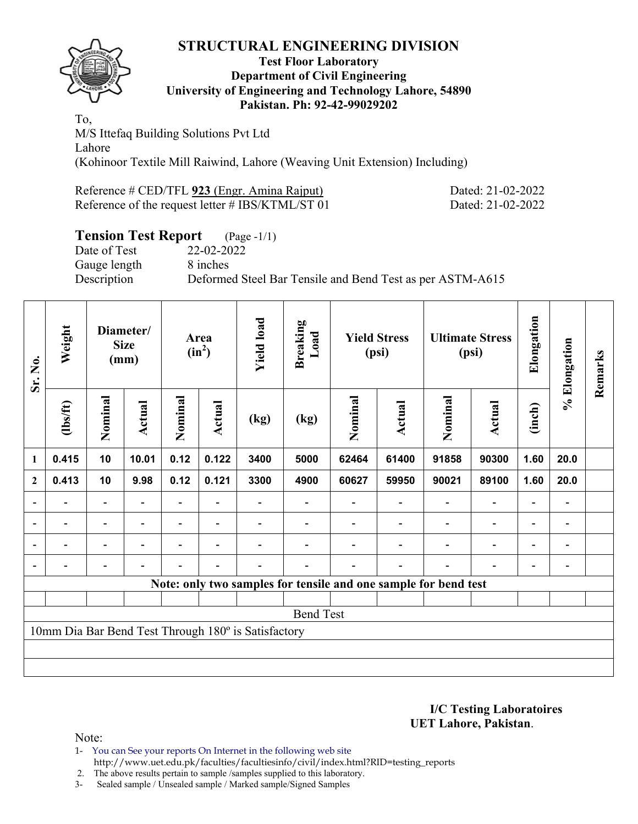

#### **Test Floor Laboratory Department of Civil Engineering University of Engineering and Technology Lahore, 54890 Pakistan. Ph: 92-42-99029202**

To, M/S Ittefaq Building Solutions Pvt Ltd Lahore (Kohinoor Textile Mill Raiwind, Lahore (Weaving Unit Extension) Including)

| Reference # CED/TFL 923 (Engr. Amina Rajput)     | Dated: 21-02-2022 |
|--------------------------------------------------|-------------------|
| Reference of the request letter # IBS/KTML/ST 01 | Dated: 21-02-2022 |

# **Tension Test Report** (Page -1/1)

Date of Test 22-02-2022 Gauge length 8 inches

Description Deformed Steel Bar Tensile and Bend Test as per ASTM-A615

| Sr. No.          | Weight                                                          | Diameter/<br><b>Size</b><br>(mm) |                | Area<br>$(in^2)$ |                          | <b>Yield load</b> | <b>Breaking</b><br>Load | <b>Yield Stress</b><br>(psi) |        | <b>Ultimate Stress</b><br>(psi) |                          | Elongation               | % Elongation             | Remarks |
|------------------|-----------------------------------------------------------------|----------------------------------|----------------|------------------|--------------------------|-------------------|-------------------------|------------------------------|--------|---------------------------------|--------------------------|--------------------------|--------------------------|---------|
|                  | (1bs/ft)                                                        | Nominal                          | Actual         | Nominal          | <b>Actual</b>            | (kg)              | (kg)                    | Nominal                      | Actual | Nominal                         | <b>Actual</b>            | (inch)                   |                          |         |
| 1                | 0.415                                                           | 10                               | 10.01          | 0.12             | 0.122                    | 3400              | 5000                    | 62464                        | 61400  | 91858                           | 90300                    | 1.60                     | 20.0                     |         |
| $\boldsymbol{2}$ | 0.413                                                           | 10                               | 9.98           | 0.12             | 0.121                    | 3300              | 4900                    | 60627                        | 59950  | 90021                           | 89100                    | 1.60                     | 20.0                     |         |
|                  |                                                                 | -                                |                |                  |                          |                   |                         |                              |        |                                 | $\overline{\phantom{0}}$ | $\overline{\phantom{0}}$ | $\overline{\phantom{a}}$ |         |
|                  | $\overline{\phantom{0}}$                                        | $\overline{\phantom{a}}$         |                |                  |                          |                   |                         |                              |        | $\blacksquare$                  | $\overline{\phantom{a}}$ | -                        | -                        |         |
|                  | $\blacksquare$                                                  | $\overline{\phantom{a}}$         |                | $\blacksquare$   | $\overline{\phantom{0}}$ |                   |                         |                              |        | $\overline{\phantom{0}}$        | $\overline{\phantom{0}}$ | Ξ.                       | $\blacksquare$           |         |
|                  |                                                                 | $\qquad \qquad \blacksquare$     | $\blacksquare$ |                  | $\blacksquare$           |                   |                         |                              |        |                                 | $\overline{\phantom{a}}$ | $\overline{\phantom{a}}$ | -                        |         |
|                  | Note: only two samples for tensile and one sample for bend test |                                  |                |                  |                          |                   |                         |                              |        |                                 |                          |                          |                          |         |
|                  |                                                                 |                                  |                |                  |                          |                   |                         |                              |        |                                 |                          |                          |                          |         |
| <b>Bend Test</b> |                                                                 |                                  |                |                  |                          |                   |                         |                              |        |                                 |                          |                          |                          |         |
|                  | 10mm Dia Bar Bend Test Through 180° is Satisfactory             |                                  |                |                  |                          |                   |                         |                              |        |                                 |                          |                          |                          |         |
|                  |                                                                 |                                  |                |                  |                          |                   |                         |                              |        |                                 |                          |                          |                          |         |
|                  |                                                                 |                                  |                |                  |                          |                   |                         |                              |        |                                 |                          |                          |                          |         |

**I/C Testing Laboratoires UET Lahore, Pakistan**.

Note:

- 1- You can See your reports On Internet in the following web site http://www.uet.edu.pk/faculties/facultiesinfo/civil/index.html?RID=testing\_reports
- 2. The above results pertain to sample /samples supplied to this laboratory.

3- Sealed sample / Unsealed sample / Marked sample/Signed Samples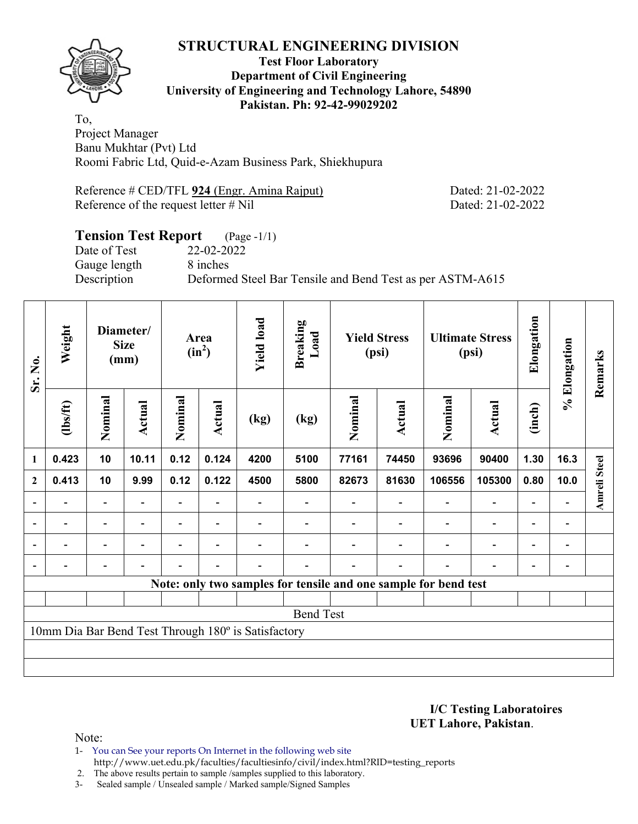

#### **Test Floor Laboratory Department of Civil Engineering University of Engineering and Technology Lahore, 54890 Pakistan. Ph: 92-42-99029202**

To, Project Manager Banu Mukhtar (Pvt) Ltd Roomi Fabric Ltd, Quid-e-Azam Business Park, Shiekhupura

Reference # CED/TFL 924 (Engr. Amina Rajput) Dated: 21-02-2022 Reference of the request letter # Nil Dated: 21-02-2022

### **Tension Test Report** (Page -1/1) Date of Test 22-02-2022 Gauge length 8 inches Description Deformed Steel Bar Tensile and Bend Test as per ASTM-A615

| Sr. No.          | Weight                                                          | Diameter/<br><b>Size</b><br>(mm) |        | Area<br>$(in^2)$ |                          | <b>Yield load</b> | <b>Breaking</b><br>Load | <b>Yield Stress</b><br>(psi) |        | <b>Ultimate Stress</b><br>(psi) |                          | Elongation               | % Elongation                 | Remarks             |
|------------------|-----------------------------------------------------------------|----------------------------------|--------|------------------|--------------------------|-------------------|-------------------------|------------------------------|--------|---------------------------------|--------------------------|--------------------------|------------------------------|---------------------|
|                  | (1bs/ft)                                                        | Nominal                          | Actual | Nominal          | Actual                   | (kg)              | (kg)                    | Nominal                      | Actual | Nominal                         | <b>Actual</b>            | (inch)                   |                              |                     |
| 1                | 0.423                                                           | 10                               | 10.11  | 0.12             | 0.124                    | 4200              | 5100                    | 77161                        | 74450  | 93696                           | 90400                    | 1.30                     | 16.3                         |                     |
| $\boldsymbol{2}$ | 0.413                                                           | 10                               | 9.99   | 0.12             | 0.122                    | 4500              | 5800                    | 82673                        | 81630  | 106556                          | 105300                   | 0.80                     | 10.0                         | <b>Amreli Steel</b> |
|                  |                                                                 | $\qquad \qquad -$                |        |                  |                          |                   |                         |                              |        |                                 | $\overline{a}$           | $\overline{\phantom{0}}$ |                              |                     |
|                  |                                                                 | $\overline{\phantom{0}}$         |        |                  | $\overline{\phantom{0}}$ |                   |                         |                              |        |                                 | $\overline{\phantom{a}}$ | $\overline{\phantom{0}}$ | -                            |                     |
|                  | Ξ.                                                              | Ξ.                               |        | $\blacksquare$   | $\blacksquare$           |                   |                         |                              |        |                                 | $\overline{\phantom{a}}$ | $\overline{\phantom{0}}$ | $\qquad \qquad \blacksquare$ |                     |
|                  |                                                                 | $\overline{\phantom{0}}$         |        |                  | $\overline{\phantom{0}}$ |                   |                         |                              |        |                                 | $\overline{\phantom{0}}$ | $\overline{\phantom{0}}$ | $\overline{\phantom{0}}$     |                     |
|                  | Note: only two samples for tensile and one sample for bend test |                                  |        |                  |                          |                   |                         |                              |        |                                 |                          |                          |                              |                     |
|                  |                                                                 |                                  |        |                  |                          |                   |                         |                              |        |                                 |                          |                          |                              |                     |
| <b>Bend Test</b> |                                                                 |                                  |        |                  |                          |                   |                         |                              |        |                                 |                          |                          |                              |                     |
|                  | 10mm Dia Bar Bend Test Through 180° is Satisfactory             |                                  |        |                  |                          |                   |                         |                              |        |                                 |                          |                          |                              |                     |
|                  |                                                                 |                                  |        |                  |                          |                   |                         |                              |        |                                 |                          |                          |                              |                     |
|                  |                                                                 |                                  |        |                  |                          |                   |                         |                              |        |                                 |                          |                          |                              |                     |

**I/C Testing Laboratoires UET Lahore, Pakistan**.

- 1- You can See your reports On Internet in the following web site http://www.uet.edu.pk/faculties/facultiesinfo/civil/index.html?RID=testing\_reports
- 2. The above results pertain to sample /samples supplied to this laboratory.
- 3- Sealed sample / Unsealed sample / Marked sample/Signed Samples